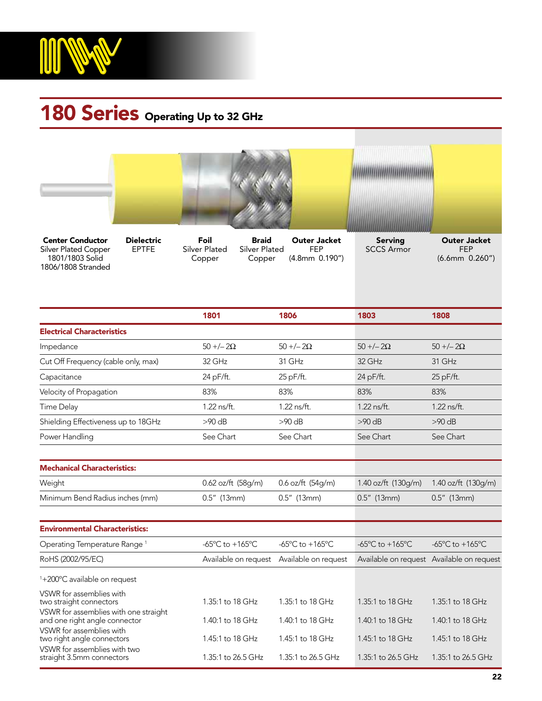

## 180 Series Operating Up to 32 GHz



straight 3.5mm connectors 1.35:1 to 26.5 GHz 1.35:1 to 26.5 GHz 1.35:1 to 26.5 GHz 1.35:1 to 26.5 GHz